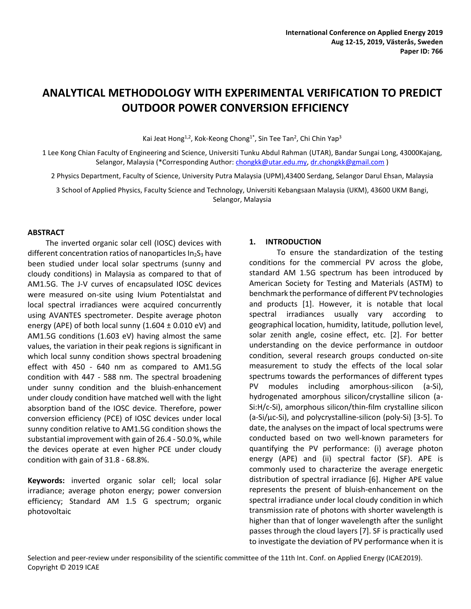# **ANALYTICAL METHODOLOGY WITH EXPERIMENTAL VERIFICATION TO PREDICT OUTDOOR POWER CONVERSION EFFICIENCY**

Kai Jeat Hong<sup>1,2</sup>, Kok-Keong Chong<sup>1\*</sup>, Sin Tee Tan<sup>2</sup>, Chi Chin Yap<sup>3</sup>

1 Lee Kong Chian Faculty of Engineering and Science, Universiti Tunku Abdul Rahman (UTAR), Bandar Sungai Long, 43000Kajang, Selangor, Malaysia (\*Corresponding Author: [chongkk@utar.edu.my,](mailto:chongkk@utar.edu.my) [dr.chongkk@gmail.com](mailto:dr.chongkk@gmail.com) )

2 Physics Department, Faculty of Science, University Putra Malaysia (UPM),43400 Serdang, Selangor Darul Ehsan, Malaysia

3 School of Applied Physics, Faculty Science and Technology, Universiti Kebangsaan Malaysia (UKM), 43600 UKM Bangi, Selangor, Malaysia

## **ABSTRACT**

The inverted organic solar cell (IOSC) devices with different concentration ratios of nanoparticles  $In<sub>2</sub>S<sub>3</sub>$  have been studied under local solar spectrums (sunny and cloudy conditions) in Malaysia as compared to that of AM1.5G. The J-V curves of encapsulated IOSC devices were measured on-site using Ivium Potentialstat and local spectral irradiances were acquired concurrently using AVANTES spectrometer. Despite average photon energy (APE) of both local sunny  $(1.604 \pm 0.010 \text{ eV})$  and AM1.5G conditions (1.603 eV) having almost the same values, the variation in their peak regions is significant in which local sunny condition shows spectral broadening effect with 450 - 640 nm as compared to AM1.5G condition with 447 - 588 nm. The spectral broadening under sunny condition and the bluish-enhancement under cloudy condition have matched well with the light absorption band of the IOSC device. Therefore, power conversion efficiency (PCE) of IOSC devices under local sunny condition relative to AM1.5G condition shows the substantial improvement with gain of 26.4 - 50.0 %, while the devices operate at even higher PCE under cloudy condition with gain of 31.8 - 68.8%.

**Keywords:** inverted organic solar cell; local solar irradiance; average photon energy; power conversion efficiency; Standard AM 1.5 G spectrum; organic photovoltaic

## **1. INTRODUCTION**

To ensure the standardization of the testing conditions for the commercial PV across the globe, standard AM 1.5G spectrum has been introduced by American Society for Testing and Materials (ASTM) to benchmark the performance of different PV technologies and products [1]. However, it is notable that local spectral irradiances usually vary according to geographical location, humidity, latitude, pollution level, solar zenith angle, cosine effect, etc. [2]. For better understanding on the device performance in outdoor condition, several research groups conducted on-site measurement to study the effects of the local solar spectrums towards the performances of different types PV modules including amorphous-silicon (a-Si), hydrogenated amorphous silicon/crystalline silicon (a-Si:H/c-Si), amorphous silicon/thin-film crystalline silicon (a-Si/μc-Si), and polycrystalline-silicon (poly-Si) [3-5]. To date, the analyses on the impact of local spectrums were conducted based on two well-known parameters for quantifying the PV performance: (i) average photon energy (APE) and (ii) spectral factor (SF). APE is commonly used to characterize the average energetic distribution of spectral irradiance [6]. Higher APE value represents the present of bluish-enhancement on the spectral irradiance under local cloudy condition in which transmission rate of photons with shorter wavelength is higher than that of longer wavelength after the sunlight passes through the cloud layers [7]. SF is practically used to investigate the deviation of PV performance when it is

Selection and peer-review under responsibility of the scientific committee of the 11th Int. Conf. on Applied Energy (ICAE2019). Copyright © 2019 ICAE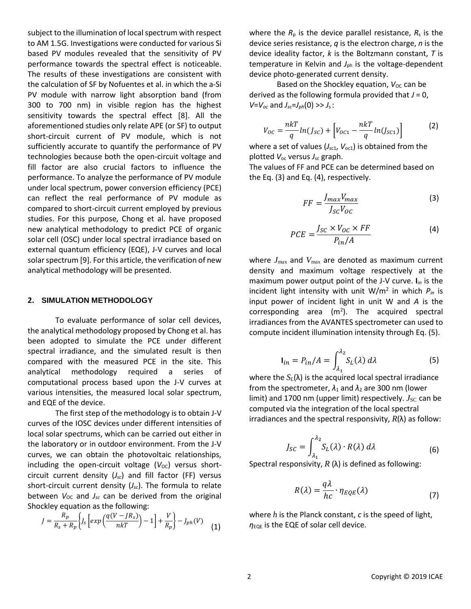subject to the illumination of local spectrum with respect to AM 1.5G. Investigations were conducted for various Si based PV modules revealed that the sensitivity of PV performance towards the spectral effect is noticeable. The results of these investigations are consistent with the calculation of SF by Nofuentes et al. in which the a-Si PV module with narrow light absorption band (from 300 to 700 nm) in visible region has the highest sensitivity towards the spectral effect [8]. All the aforementioned studies only relate APE (or SF) to output short-circuit current of PV module, which is not sufficiently accurate to quantify the performance of PV technologies because both the open-circuit voltage and fill factor are also crucial factors to influence the performance. To analyze the performance of PV module under local spectrum, power conversion efficiency (PCE) can reflect the real performance of PV module as compared to short-circuit current employed by previous studies. For this purpose, Chong et al. have proposed new analytical methodology to predict PCE of organic solar cell (OSC) under local spectral irradiance based on external quantum efficiency (EQE), J-V curves and local solar spectrum [9]. For this article, the verification of new analytical methodology will be presented.

## **2. SIMULATION METHODOLOGY**

To evaluate performance of solar cell devices, the analytical methodology proposed by Chong et al. has been adopted to simulate the PCE under different spectral irradiance, and the simulated result is then compared with the measured PCE in the site. This analytical methodology required a series of computational process based upon the J-V curves at various intensities, the measured local solar spectrum, and EQE of the device.

The first step of the methodology is to obtain J-V curves of the IOSC devices under different intensities of local solar spectrums, which can be carried out either in the laboratory or in outdoor environment. From the J-V curves, we can obtain the photovoltaic relationships, including the open-circuit voltage  $(V_{OC})$  versus shortcircuit current density (*Jsc*) and fill factor (FF) versus short-circuit current density (*Jsc*). The formula to relate between  $V_{OC}$  and  $J_{SC}$  can be derived from the original Shockley equation as the following:

$$
J = \frac{R_p}{R_s + R_p} \left\{ J_s \left[ exp\left(\frac{q(V - J R_s)}{nkT}\right) - 1 \right] + \frac{V}{R_p} \right\} - J_{ph}(V) \tag{1}
$$

where the  $R_p$  is the device parallel resistance,  $R_s$  is the device series resistance, *q* is the electron charge, *n* is the device ideality factor, *k* is the Boltzmann constant, *T* is temperature in Kelvin and *J*<sub>ph</sub> is the voltage-dependent device photo-generated current density.

Based on the Shockley equation, *V*<sub>OC</sub> can be derived as the following formula provided that *J* = 0, *V*=*V*<sub>oc</sub> and *J*<sub>sc</sub>=*J*<sub>*ph*</sub>(0) >> *J*<sub>s</sub>:

$$
V_{OC} = \frac{n k T}{q} ln(J_{SC}) + \left[ V_{OC1} - \frac{n k T}{q} ln(J_{SC1}) \right]
$$
 (2)

where a set of values  $(J_{\rm sc1}, V_{\rm oc1})$  is obtained from the plotted *V*oc versus *J*sc graph.

The values of FF and PCE can be determined based on the Eq. [\(3\)](#page-1-0) and Eq[. \(4\),](#page-1-1) respectively.

<span id="page-1-1"></span><span id="page-1-0"></span>
$$
FF = \frac{J_{max}V_{max}}{J_{SC}V_{OC}}
$$
 (3)

$$
PCE = \frac{J_{SC} \times V_{OC} \times FF}{P_{in}/A}
$$
 (4)

where *J*max and *V*max are denoted as maximum current density and maximum voltage respectively at the maximum power output point of the J-V curve. **I***in* is the incident light intensity with unit W/m<sup>2</sup> in which *Pin* is input power of incident light in unit W and *A* is the corresponding area  $(m^2)$ . The acquired spectral irradiances from the AVANTES spectrometer can used to compute incident illumination intensity through Eq. [\(5\).](#page-1-2)

<span id="page-1-2"></span>
$$
\mathbf{I}_{in} = P_{in}/A = \int_{\lambda_1}^{\lambda_2} S_L(\lambda) \, d\lambda \tag{5}
$$

where the  $S_L(\lambda)$  is the acquired local spectral irradiance from the spectrometer,  $\lambda_1$  and  $\lambda_2$  are 300 nm (lower limit) and 1700 nm (upper limit) respectively.  $J_{SC}$  can be computed via the integration of the local spectral irradiances and the spectral responsivity, *R*(λ) as follow:

$$
J_{SC} = \int_{\lambda_1}^{\lambda_2} S_L(\lambda) \cdot R(\lambda) \, d\lambda \tag{6}
$$

Spectral responsivity,  $R(\lambda)$  is defined as following:

$$
R(\lambda) = \frac{q\lambda}{hc} \cdot \eta_{EQE}(\lambda)
$$
 (7)

where *h* is the Planck constant, *c* is the speed of light,  $\eta_{EOE}$  is the EQE of solar cell device.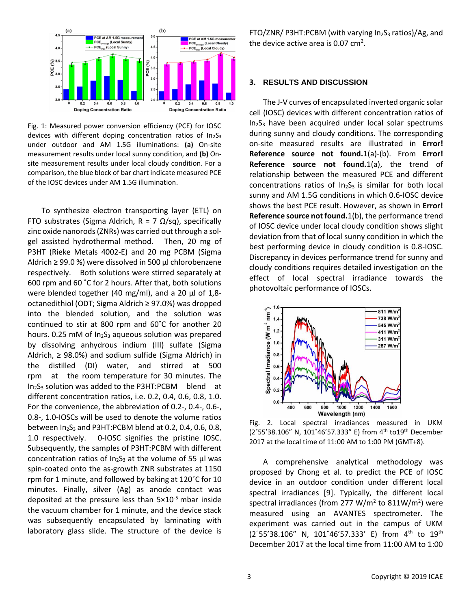

Fig. 1: Measured power conversion efficiency (PCE) for IOSC devices with different doping concentration ratios of In<sub>2</sub>S<sub>3</sub> under outdoor and AM 1.5G illuminations: **(a)** On-site measurement results under local sunny condition, and **(b)** Onsite measurement results under local cloudy condition. For a comparison, the blue block of bar chart indicate measured PCE of the IOSC devices under AM 1.5G illumination.

To synthesize electron transporting layer (ETL) on FTO substrates (Sigma Aldrich,  $R = 7 \Omega/sq$ ), specifically zinc oxide nanorods (ZNRs) was carried out through a solgel assisted hydrothermal method. Then, 20 mg of P3HT (Rieke Metals 4002-E) and 20 mg PCBM (Sigma Aldrich ≥ 99.0 %) were dissolved in 500 μl chlorobenzene respectively. Both solutions were stirred separately at 600 rpm and 60 ˚C for 2 hours. After that, both solutions were blended together (40 mg/ml), and a 20 μl of 1,8 octanedithiol (ODT; Sigma Aldrich ≥ 97.0%) was dropped into the blended solution, and the solution was continued to stir at 800 rpm and 60˚C for another 20 hours. 0.25 mM of  $In<sub>2</sub>S<sub>3</sub>$  aqueous solution was prepared by dissolving anhydrous indium (III) sulfate (Sigma Aldrich,  $\geq$  98.0%) and sodium sulfide (Sigma Aldrich) in the distilled (DI) water, and stirred at 500 rpm at the room temperature for 30 minutes. The  $In_2S_3$  solution was added to the P3HT:PCBM blend at different concentration ratios, i.e. 0.2, 0.4, 0.6, 0.8, 1.0. For the convenience, the abbreviation of 0.2-, 0.4-, 0.6-, 0.8-, 1.0-IOSCs will be used to denote the volume ratios between  $In<sub>2</sub>S<sub>3</sub>$  and P3HT:PCBM blend at 0.2, 0.4, 0.6, 0.8, 1.0 respectively. 0-IOSC signifies the pristine IOSC. Subsequently, the samples of P3HT:PCBM with different concentration ratios of  $In<sub>2</sub>S<sub>3</sub>$  at the volume of 55 μl was spin-coated onto the as-growth ZNR substrates at 1150 rpm for 1 minute, and followed by baking at 120˚C for 10 minutes. Finally, silver (Ag) as anode contact was deposited at the pressure less than  $5\times10^{-5}$  mbar inside the vacuum chamber for 1 minute, and the device stack was subsequently encapsulated by laminating with laboratory glass slide. The structure of the device is FTO/ZNR/ P3HT:PCBM (with varying In<sub>2</sub>S<sub>3</sub> ratios)/Ag, and the device active area is 0.07 cm<sup>2</sup>.

## **3. RESULTS AND DISCUSSION**

The J-V curves of encapsulated inverted organic solar cell (IOSC) devices with different concentration ratios of In2S<sup>3</sup> have been acquired under local solar spectrums during sunny and cloudy conditions. The corresponding on-site measured results are illustrated in **Error! Reference source not found.**1(a)-(b). From **Error! Reference source not found.**1(a), the trend of relationship between the measured PCE and different concentrations ratios of  $In<sub>2</sub>S<sub>3</sub>$  is similar for both local sunny and AM 1.5G conditions in which 0.6-IOSC device shows the best PCE result. However, as shown in **Error! Reference source not found.**1(b), the performance trend of IOSC device under local cloudy condition shows slight deviation from that of local sunny condition in which the best performing device in cloudy condition is 0.8-IOSC. Discrepancy in devices performance trend for sunny and cloudy conditions requires detailed investigation on the effect of local spectral irradiance towards the photovoltaic performance of IOSCs.



Fig. 2. Local spectral irradiances measured in UKM ( $2°55'38.106''$  N,  $101°46'57.333''$  E) from  $4<sup>th</sup>$  to  $19<sup>th</sup>$  December 2017 at the local time of 11:00 AM to 1:00 PM (GMT+8).

A comprehensive analytical methodology was proposed by Chong et al. to predict the PCE of IOSC device in an outdoor condition under different local spectral irradiances [9]. Typically, the different local spectral irradiances (from 277 W/m<sup>2</sup> to 811W/m<sup>2</sup>) were measured using an AVANTES spectrometer. The experiment was carried out in the campus of UKM (2°55'38.106" N, 101°46'57.333' E) from 4<sup>th</sup> to 19<sup>th</sup> December 2017 at the local time from 11:00 AM to 1:00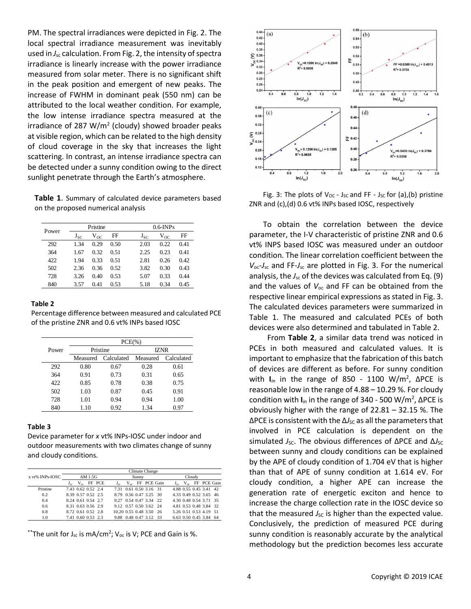PM. The spectral irradiances were depicted in Fig. 2. The local spectral irradiance measurement was inevitably used in  $J_{sc}$  calculation. From Fig. 2, the intensity of spectra irradiance is linearly increase with the power irradiance measured from solar meter. There is no significant shift in the peak position and emergent of new peaks. The increase of FWHM in dominant peak (550 nm) can be attributed to the local weather condition. For example, the low intense irradiance spectra measured at the irradiance of 287 W/m<sup>2</sup> (cloudy) showed broader peaks at visible region, which can be related to the high density of cloud coverage in the sky that increases the light scattering. In contrast, an intense irradiance spectra can be detected under a sunny condition owing to the direct sunlight penetrate through the Earth's atmosphere.

**Table 1**. Summary of calculated device parameters based on the proposed numerical analysis

| Power | Pristine |          |      |          | $0.6$ -INPs |      |  |
|-------|----------|----------|------|----------|-------------|------|--|
|       | $J_{SC}$ | $V_{OC}$ | FF   | $J_{SC}$ | $V_{OC}$    | FF   |  |
| 292   | 1.34     | 0.29     | 0.50 | 2.03     | 0.22        | 0.41 |  |
| 364   | 1.67     | 0.32     | 0.51 | 2.25     | 0.23        | 0.41 |  |
| 422   | 1.94     | 0.33     | 0.51 | 2.81     | 0.26        | 0.42 |  |
| 502   | 2.36     | 0.36     | 0.52 | 3.82     | 0.30        | 0.43 |  |
| 728   | 3.26     | 0.40     | 0.53 | 5.07     | 0.33        | 0.44 |  |
| 840   | 3.57     | 0.41     | 0.53 | 5.18     | 0.34        | 0.45 |  |

#### **Table 2**

Percentage difference between measured and calculated PCE of the pristine ZNR and 0.6 vt% INPs based IOSC

|       | $PCE(\% )$ |                     |             |            |  |  |
|-------|------------|---------------------|-------------|------------|--|--|
| Power | Pristine   |                     | <b>IZNR</b> |            |  |  |
|       | Measured   | Calculated Measured |             | Calculated |  |  |
| 292   | 0.80       | 0.67                | 0.28        | 0.61       |  |  |
| 364   | 0.91       | 0.73                | 0.31        | 0.65       |  |  |
| 422   | 0.85       | 0.78                | 0.38        | 0.75       |  |  |
| 502   | 1.03       | 0.87                | 0.45        | 0.91       |  |  |
| 728   | 1.01       | 0.94                | 0.94        | 1.00       |  |  |
| 840   | 1.10       | 0.92                | 1.34        | 0.97       |  |  |

### **Table 3**

Device parameter for *x* vt% INPs-IOSC under indoor and outdoor measurements with two climates change of sunny and cloudy conditions.

|                 | Climate Change                        |                                          |                                      |  |  |  |  |  |
|-----------------|---------------------------------------|------------------------------------------|--------------------------------------|--|--|--|--|--|
| x vt% INPs-IOSC | AM 1.5G                               | Sunny                                    | Cloudy                               |  |  |  |  |  |
|                 | $V_{oc}$ FF PCE<br>$J_{\alpha\alpha}$ | $V_{\infty}$ FF PCE Gain<br>$J_{\rm co}$ | $J_{sc}$ V <sub>oc</sub> FF PCE Gain |  |  |  |  |  |
| Pristine        | 7.43 0.62 0.52 2.4                    | 7.31 0.61 0.50 3.16 31                   | 4.88 0.55 0.45 3.41 42               |  |  |  |  |  |
| 0.2             | 8.39 0.57 0.52 2.5                    | 8.79 0.56 0.47 3.25 30                   | 4.33 0.49 0.52 3.65 46               |  |  |  |  |  |
| 0.4             | 8.24 0.61 0.54 2.7                    | 9.27 0.54 0.47 3.34 22                   | 4.30 0.48 0.54 3.71 35               |  |  |  |  |  |
| 0.6             | 8.31 0.63 0.56 2.9                    | 9.12 0.57 0.50 3.62 24                   | 4.81 0.53 0.48 3.84 32               |  |  |  |  |  |
| 0.8             | 8.72 0.61 0.52 2.8                    | 10.20 0.55 0.48 3.50 26                  | 5.26 0.51 0.53 4.19 51               |  |  |  |  |  |
| 1.0             | 7.41 0.60 0.53 2.3                    | 9.88 0.48 0.47 3.12 33                   | 6.63 0.50 0.45 3.84 64               |  |  |  |  |  |

\*\*The unit for Jsc is mA/cm<sup>2</sup>; V<sub>oc</sub> is V; PCE and Gain is %.



Fig. 3: The plots of  $V_{OC}$  - Jsc and FF - Jsc for (a),(b) pristine ZNR and (c),(d) 0.6 vt% INPs based IOSC, respectively

To obtain the correlation between the device parameter, the I-V characteristic of pristine ZNR and 0.6 vt% INPS based IOSC was measured under an outdoor condition. The linear correlation coefficient between the *V*oc-*J*sc and FF-*J*sc are plotted in Fig. 3. For the numerical analysis, the *J<sub>sc</sub>* of the devices was calculated from Eq. (9) and the values of  $V_{\text{oc}}$  and FF can be obtained from the respective linear empirical expressions as stated in Fig. 3. The calculated devices parameters were summarized in Table 1. The measured and calculated PCEs of both devices were also determined and tabulated in Table 2.

From **Table 2**, a similar data trend was noticed in PCEs in both measured and calculated values. It is important to emphasize that the fabrication of this batch of devices are different as before. For sunny condition with **I***in* in the range of 850 - 1100 W/m<sup>2</sup> , ∆PCE is reasonable low in the range of 4.88 – 10.29 %. For cloudy condition with **I***in* in the range of 340 - 500 W/m<sup>2</sup> , ∆PCE is obviously higher with the range of 22.81 – 32.15 %. The ∆PCE is consistent with the ∆<sub>*Sc*</sub> as all the parameters that involved in PCE calculation is dependent on the simulated *J*<sub>SC</sub>. The obvious differences of ∆PCE and ∆*J*<sub>SC</sub> between sunny and cloudy conditions can be explained by the APE of cloudy condition of 1.704 eV that is higher than that of APE of sunny condition at 1.614 eV. For cloudy condition, a higher APE can increase the generation rate of energetic exciton and hence to increase the charge collection rate in the IOSC device so that the measured  $J_{\rm SC}$  is higher than the expected value. Conclusively, the prediction of measured PCE during sunny condition is reasonably accurate by the analytical methodology but the prediction becomes less accurate